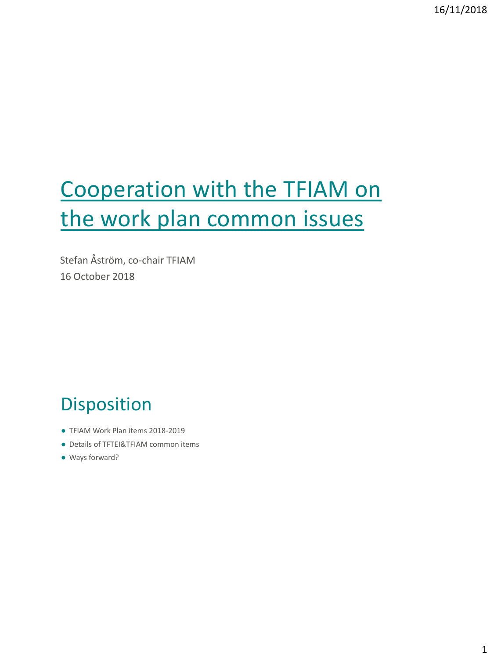# Cooperation with the TFIAM on the work plan common issues

Stefan Åström, co-chair TFIAM 16 October 2018

## Disposition

- TFIAM Work Plan items 2018-2019
- Details of TFTEI&TFIAM common items
- Ways forward?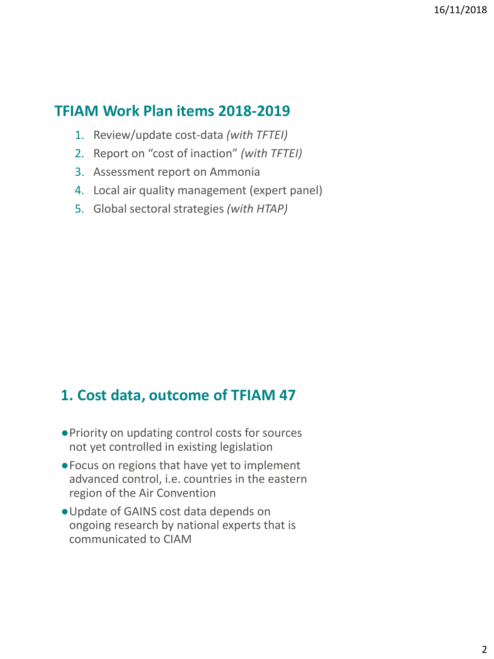#### **TFIAM Work Plan items 2018-2019**

- 1. Review/update cost-data *(with TFTEI)*
- 2. Report on "cost of inaction" *(with TFTEI)*
- 3. Assessment report on Ammonia
- 4. Local air quality management (expert panel)
- 5. Global sectoral strategies *(with HTAP)*

## **1. Cost data, outcome of TFIAM 47**

- ●Priority on updating control costs for sources not yet controlled in existing legislation
- ●Focus on regions that have yet to implement advanced control, i.e. countries in the eastern region of the Air Convention
- ●Update of GAINS cost data depends on ongoing research by national experts that is communicated to CIAM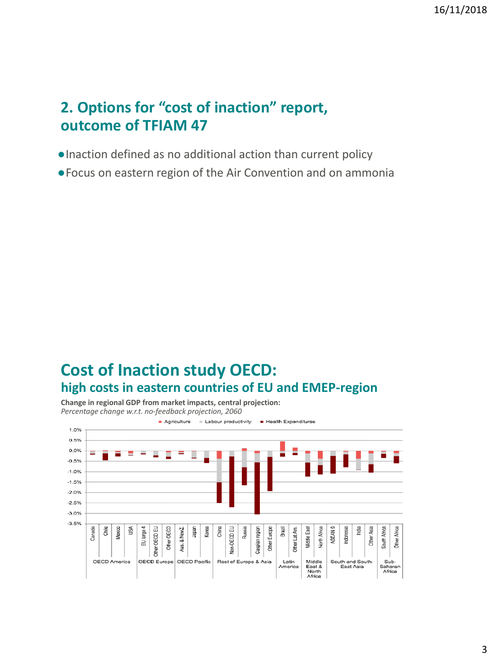### **2. Options for "cost of inaction" report, outcome of TFIAM 47**

- ●Inaction defined as no additional action than current policy
- ●Focus on eastern region of the Air Convention and on ammonia

#### **Cost of Inaction study OECD: high costs in eastern countries of EU and EMEP-region**

**Change in regional GDP from market impacts, central projection:**  *Percentage change w.r.t. no-feedback projection, 2060*